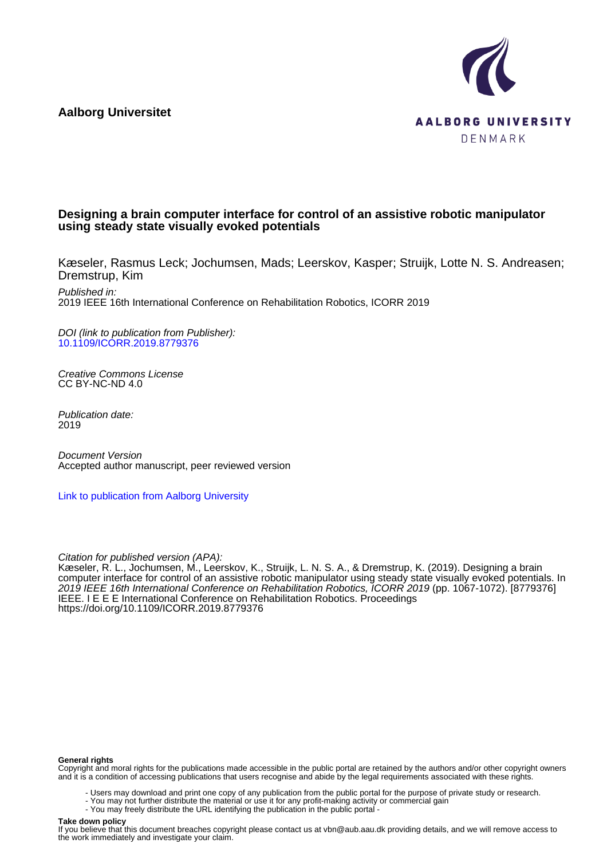**Aalborg Universitet**



# **Designing a brain computer interface for control of an assistive robotic manipulator using steady state visually evoked potentials**

Kæseler, Rasmus Leck; Jochumsen, Mads; Leerskov, Kasper; Struijk, Lotte N. S. Andreasen; Dremstrup, Kim

Published in: 2019 IEEE 16th International Conference on Rehabilitation Robotics, ICORR 2019

DOI (link to publication from Publisher): [10.1109/ICORR.2019.8779376](https://doi.org/10.1109/ICORR.2019.8779376)

Creative Commons License CC BY-NC-ND 4.0

Publication date: 2019

Document Version Accepted author manuscript, peer reviewed version

[Link to publication from Aalborg University](https://vbn.aau.dk/en/publications/7aba4172-0569-49aa-a1ce-3aad9edd2404)

Citation for published version (APA):

Kæseler, R. L., Jochumsen, M., Leerskov, K., Struijk, L. N. S. A., & Dremstrup, K. (2019). Designing a brain computer interface for control of an assistive robotic manipulator using steady state visually evoked potentials. In 2019 IEEE 16th International Conference on Rehabilitation Robotics, ICORR 2019 (pp. 1067-1072). [8779376] IEEE. I E E E International Conference on Rehabilitation Robotics. Proceedings <https://doi.org/10.1109/ICORR.2019.8779376>

#### **General rights**

Copyright and moral rights for the publications made accessible in the public portal are retained by the authors and/or other copyright owners and it is a condition of accessing publications that users recognise and abide by the legal requirements associated with these rights.

- Users may download and print one copy of any publication from the public portal for the purpose of private study or research.
- You may not further distribute the material or use it for any profit-making activity or commercial gain
- You may freely distribute the URL identifying the publication in the public portal -

# **Take down policy**

If you believe that this document breaches copyright please contact us at vbn@aub.aau.dk providing details, and we will remove access to the work immediately and investigate your claim.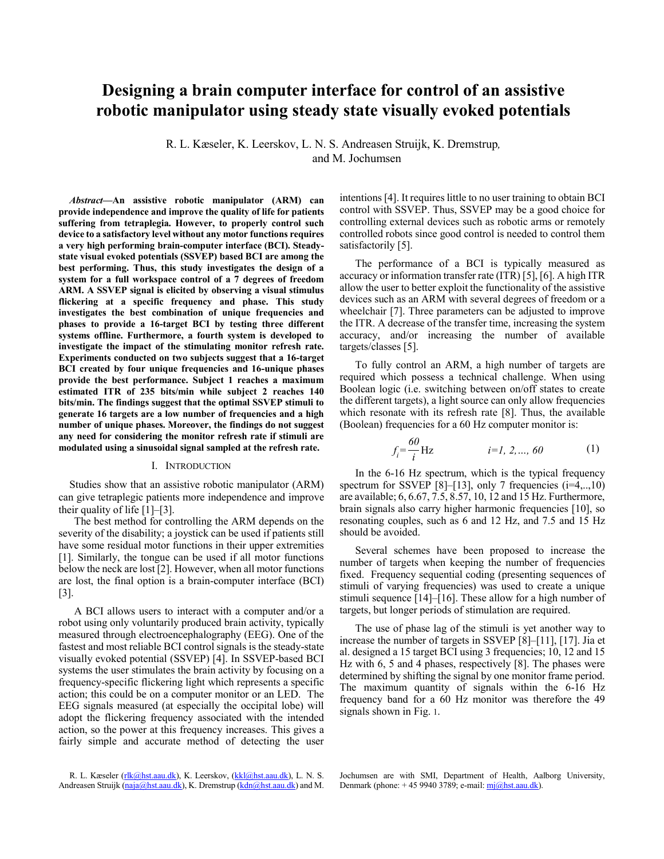# Designing a brain computer interface for control of an assistive robotic manipulator using steady state visually evoked potentials

R. L. Kæseler, K. Leerskov, L. N. S. Andreasen Struijk, K. Dremstrup, and M. Jochumsen

Abstract-An assistive robotic manipulator (ARM) can provide independence and improve the quality of life for patients suffering from tetraplegia. However, to properly control such device to a satisfactory level without any motor functions requires a very high performing brain-computer interface (BCI). Steadystate visual evoked potentials (SSVEP) based BCI are among the best performing. Thus, this study investigates the design of a system for a full workspace control of a 7 degrees of freedom ARM. A SSVEP signal is elicited by observing a visual stimulus flickering at a specific frequency and phase. This study investigates the best combination of unique frequencies and phases to provide a 16-target BCI by testing three different systems offline. Furthermore, a fourth system is developed to investigate the impact of the stimulating monitor refresh rate. Experiments conducted on two subjects suggest that a 16-target BCI created by four unique frequencies and 16-unique phases provide the best performance. Subject 1 reaches a maximum estimated ITR of 235 bits/min while subject 2 reaches 140 bits/min. The findings suggest that the optimal SSVEP stimuli to generate 16 targets are a low number of frequencies and a high number of unique phases. Moreover, the findings do not suggest any need for considering the monitor refresh rate if stimuli are modulated using a sinusoidal signal sampled at the refresh rate.

#### I. INTRODUCTION

Studies show that an assistive robotic manipulator (ARM) can give tetraplegic patients more independence and improve their quality of life  $[1]-[3]$ .

The best method for controlling the ARM depends on the severity of the disability; a joystick can be used if patients still have some residual motor functions in their upper extremities [1]. Similarly, the tongue can be used if all motor functions below the neck are lost [2]. However, when all motor functions are lost, the final option is a brain-computer interface (BCI)  $\lceil 3 \rceil$ .

A BCI allows users to interact with a computer and/or a robot using only voluntarily produced brain activity, typically measured through electroencephalography (EEG). One of the fastest and most reliable BCI control signals is the steady-state visually evoked potential (SSVEP) [4]. In SSVEP-based BCI systems the user stimulates the brain activity by focusing on a frequency-specific flickering light which represents a specific action; this could be on a computer monitor or an LED. The EEG signals measured (at especially the occipital lobe) will adopt the flickering frequency associated with the intended action, so the power at this frequency increases. This gives a fairly simple and accurate method of detecting the user

R. L. Kæseler (rlk@hst.aau.dk), K. Leerskov, (kkl@hst.aau.dk), L. N. S. Andreasen Struijk (naja@hst.aau.dk), K. Dremstrup (kdn@hst.aau.dk) and M. intentions [4]. It requires little to no user training to obtain BCI control with SSVEP. Thus, SSVEP may be a good choice for controlling external devices such as robotic arms or remotely controlled robots since good control is needed to control them satisfactorily [5].

The performance of a BCI is typically measured as accuracy or information transfer rate (ITR) [5], [6]. A high ITR allow the user to better exploit the functionality of the assistive devices such as an ARM with several degrees of freedom or a wheelchair [7]. Three parameters can be adjusted to improve the ITR. A decrease of the transfer time, increasing the system accuracy, and/or increasing the number of available targets/classes  $[5]$ .

To fully control an ARM, a high number of targets are required which possess a technical challenge. When using Boolean logic (*i.e.* switching between on/off states to create the different targets), a light source can only allow frequencies which resonate with its refresh rate [8]. Thus, the available (Boolean) frequencies for a 60 Hz computer monitor is:

$$
f_i = \frac{60}{i} Hz \qquad i = 1, 2, ..., 60 \qquad (1)
$$

In the 6-16 Hz spectrum, which is the typical frequency spectrum for SSVEP [8]-[13], only 7 frequencies  $(i=4,..,10)$ are available; 6, 6.67, 7.5, 8.57, 10, 12 and 15 Hz. Furthermore, brain signals also carry higher harmonic frequencies [10], so resonating couples, such as 6 and 12 Hz, and 7.5 and 15 Hz should be avoided.

Several schemes have been proposed to increase the number of targets when keeping the number of frequencies fixed. Frequency sequential coding (presenting sequences of stimuli of varying frequencies) was used to create a unique stimuli sequence  $[14]$ – $[16]$ . These allow for a high number of targets, but longer periods of stimulation are required.

The use of phase lag of the stimuli is yet another way to increase the number of targets in SSVEP [8]-[11], [17]. Jia et al. designed a 15 target BCI using 3 frequencies; 10, 12 and 15 Hz with 6, 5 and 4 phases, respectively [8]. The phases were determined by shifting the signal by one monitor frame period. The maximum quantity of signals within the 6-16 Hz frequency band for a 60 Hz monitor was therefore the 49 signals shown in Fig. 1.

Jochumsen are with SMI, Department of Health, Aalborg University, Denmark (phone: +45 9940 3789; e-mail:  $m\overline{q}$ ) est.aau.dk).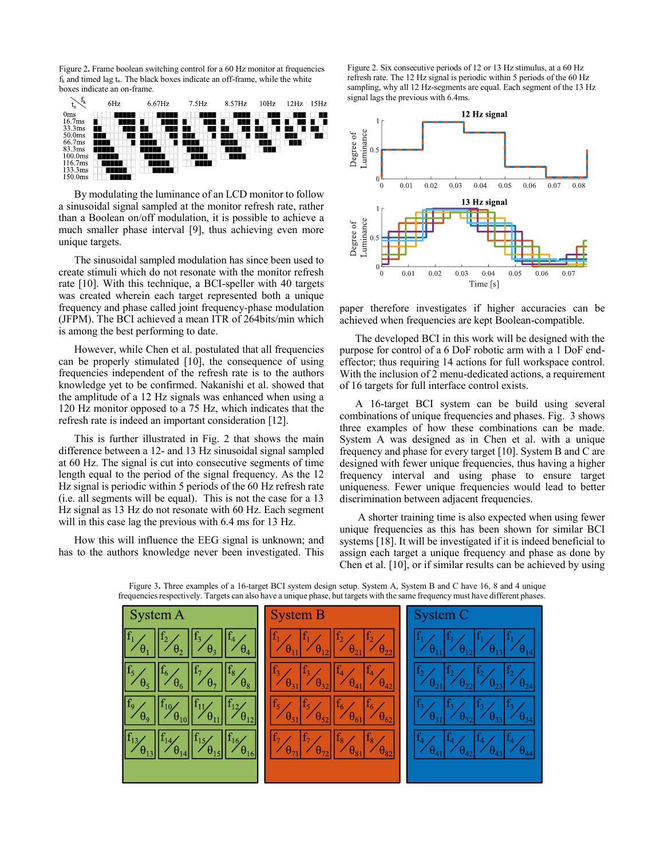Figure 2. Frame boolean switching control for a 60 Hz monitor at frequencies  $f_k$  and timed lag  $t_n$ . The black boxes indicate an off-frame, while the white boxes indicate an on-frame.



By modulating the luminance of an LCD monitor to follow a sinusoidal signal sampled at the monitor refresh rate, rather than a Boolean on/off modulation, it is possible to achieve a much smaller phase interval [9], thus achieving even more unique targets.

The sinusoidal sampled modulation has since been used to create stimuli which do not resonate with the monitor refresh rate [10]. With this technique, a BCI-speller with 40 targets was created wherein each target represented both a unique frequency and phase called joint frequency-phase modulation (JFPM). The BCI achieved a mean ITR of 264 bits/min which is among the best performing to date.

However, while Chen et al. postulated that all frequencies can be properly stimulated [10], the consequence of using frequencies independent of the refresh rate is to the authors knowledge yet to be confirmed. Nakanishi et al. showed that the amplitude of a 12 Hz signals was enhanced when using a 120 Hz monitor opposed to a 75 Hz, which indicates that the refresh rate is indeed an important consideration [12].

This is further illustrated in Fig. 2 that shows the main difference between a 12- and 13 Hz sinusoidal signal sampled at 60 Hz. The signal is cut into consecutive segments of time length equal to the period of the signal frequency. As the 12 Hz signal is periodic within 5 periods of the 60 Hz refresh rate (i.e. all segments will be equal). This is not the case for a 13 Hz signal as 13 Hz do not resonate with 60 Hz. Each segment will in this case lag the previous with 6.4 ms for 13 Hz.

How this will influence the EEG signal is unknown; and has to the authors knowledge never been investigated. This

Figure 2. Six consecutive periods of 12 or 13 Hz stimulus, at a 60 Hz refresh rate. The 12 Hz signal is periodic within 5 periods of the 60 Hz sampling, why all 12 Hz-segments are equal. Each segment of the 13 Hz signal lags the previous with 6.4ms.



paper therefore investigates if higher accuracies can be achieved when frequencies are kept Boolean-compatible.

The developed BCI in this work will be designed with the purpose for control of a 6 DoF robotic arm with a 1 DoF endeffector; thus requiring 14 actions for full workspace control. With the inclusion of 2 menu-dedicated actions, a requirement of 16 targets for full interface control exists.

A 16-target BCI system can be build using several combinations of unique frequencies and phases. Fig. 3 shows three examples of how these combinations can be made. System A was designed as in Chen et al. with a unique frequency and phase for every target [10]. System B and C are designed with fewer unique frequencies, thus having a higher frequency interval and using phase to ensure target uniqueness. Fewer unique frequencies would lead to better discrimination between adjacent frequencies.

A shorter training time is also expected when using fewer unique frequencies as this has been shown for similar BCI systems [18]. It will be investigated if it is indeed beneficial to assign each target a unique frequency and phase as done by Chen et al. [10], or if similar results can be achieved by using



Figure 3. Three examples of a 16-target BCI system design setup. System A, System B and C have 16, 8 and 4 unique frequencies respectively. Targets can also have a unique phase, but targets with the same frequency must have different phases.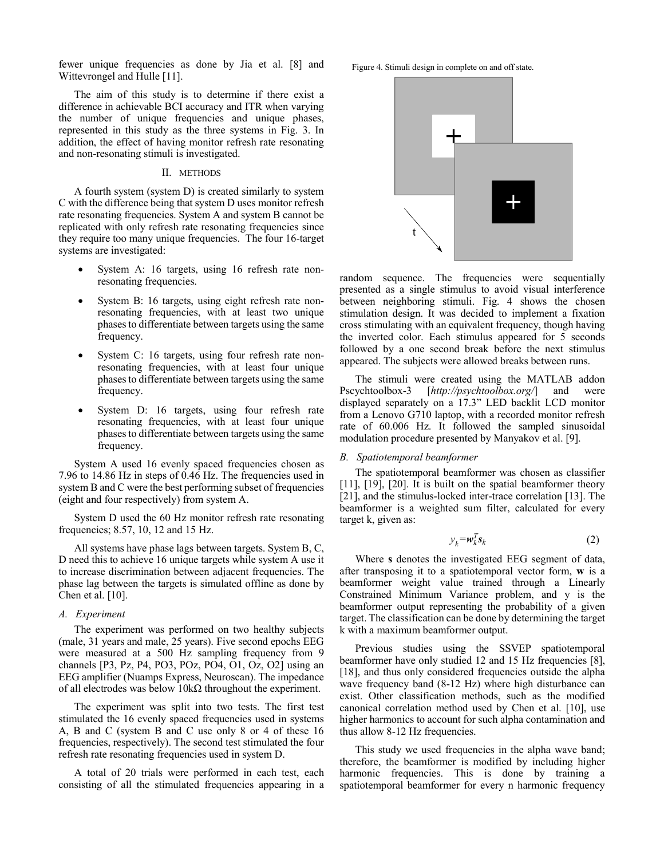fewer unique frequencies as done by Jia et al. [8] and Wittevrongel and Hulle [11].

The aim of this study is to determine if there exist a difference in achievable BCI accuracy and ITR when varying the number of unique frequencies and unique phases, represented in this study as the three systems in Fig. 3. In addition, the effect of having monitor refresh rate resonating and non-resonating stimuli is investigated.

#### II. METHODS

A fourth system (system D) is created similarly to system C with the difference being that system D uses monitor refresh rate resonating frequencies. System A and system B cannot be replicated with only refresh rate resonating frequencies since they require too many unique frequencies. The four 16-target systems are investigated:

- System A: 16 targets, using 16 refresh rate nonresonating frequencies.
- System B: 16 targets, using eight refresh rate nonresonating frequencies, with at least two unique phases to differentiate between targets using the same frequency.
- System C: 16 targets, using four refresh rate nonresonating frequencies, with at least four unique phases to differentiate between targets using the same frequency.
- System D: 16 targets, using four refresh rate resonating frequencies, with at least four unique phases to differentiate between targets using the same frequency.

System A used 16 evenly spaced frequencies chosen as 7.96 to 14.86 Hz in steps of 0.46 Hz. The frequencies used in system B and C were the best performing subset of frequencies (eight and four respectively) from system A.

System D used the 60 Hz monitor refresh rate resonating frequencies; 8.57, 10, 12 and 15 Hz.

All systems have phase lags between targets. System B, C, D need this to achieve 16 unique targets while system A use it to increase discrimination between adjacent frequencies. The phase lag between the targets is simulated offline as done by Chen et al.  $[10]$ .

#### A. Experiment

The experiment was performed on two healthy subjects (male, 31 years and male, 25 years). Five second epochs EEG were measured at a 500 Hz sampling frequency from 9 channels [P3, Pz, P4, PO3, POz, PO4, O1, Oz, O2] using an EEG amplifier (Nuamps Express, Neuroscan). The impedance of all electrodes was below  $10k\Omega$  throughout the experiment.

The experiment was split into two tests. The first test stimulated the 16 evenly spaced frequencies used in systems A, B and C (system B and C use only 8 or 4 of these 16 frequencies, respectively). The second test stimulated the four refresh rate resonating frequencies used in system D.

A total of 20 trials were performed in each test, each consisting of all the stimulated frequencies appearing in a Figure 4. Stimuli design in complete on and off state.



random sequence. The frequencies were sequentially presented as a single stimulus to avoid visual interference between neighboring stimuli. Fig. 4 shows the chosen stimulation design. It was decided to implement a fixation cross stimulating with an equivalent frequency, though having the inverted color. Each stimulus appeared for 5 seconds followed by a one second break before the next stimulus appeared. The subjects were allowed breaks between runs.

The stimuli were created using the MATLAB addon Pscychtoolbox-3  $[http://psychtoolbox.org/]$  and were displayed separately on a 17.3" LED backlit LCD monitor from a Lenovo G710 laptop, with a recorded monitor refresh rate of 60.006 Hz. It followed the sampled sinusoidal modulation procedure presented by Manyakov et al. [9].

## B. Spatiotemporal beamformer

The spatiotemporal beamformer was chosen as classifier  $[11]$ ,  $[19]$ ,  $[20]$ . It is built on the spatial beamformer theory [21], and the stimulus-locked inter-trace correlation [13]. The beamformer is a weighted sum filter, calculated for every target k, given as:

$$
y_k = \mathbf{w}_k^T \mathbf{s}_k \tag{2}
$$

Where s denotes the investigated EEG segment of data, after transposing it to a spatiotemporal vector form, w is a beamformer weight value trained through a Linearly Constrained Minimum Variance problem, and y is the beamformer output representing the probability of a given target. The classification can be done by determining the target k with a maximum beamformer output.

Previous studies using the SSVEP spatiotemporal beamformer have only studied 12 and 15 Hz frequencies [8], [18], and thus only considered frequencies outside the alpha wave frequency band (8-12 Hz) where high disturbance can exist. Other classification methods, such as the modified canonical correlation method used by Chen et al. [10], use higher harmonics to account for such alpha contamination and thus allow 8-12 Hz frequencies.

This study we used frequencies in the alpha wave band; therefore, the beamformer is modified by including higher harmonic frequencies. This is done by training a spatiotemporal beamformer for every n harmonic frequency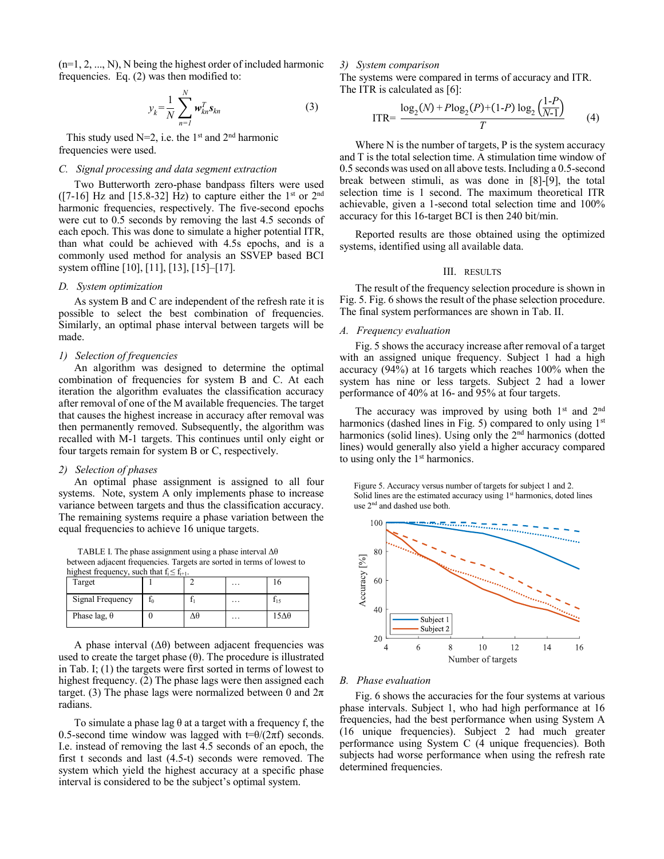$(n=1, 2, ..., N)$ , N being the highest order of included harmonic frequencies. Eq.  $(2)$  was then modified to:

$$
y_k = \frac{1}{N} \sum_{n=1}^{N} \mathbf{w}_{kn}^T \mathbf{s}_{kn}
$$
 (3)

This study used  $N=2$ , i.e. the 1<sup>st</sup> and 2<sup>nd</sup> harmonic frequencies were used.

# C. Signal processing and data segment extraction

Two Butterworth zero-phase bandpass filters were used  $(7-16)$  Hz and [15.8-32] Hz) to capture either the 1<sup>st</sup> or 2<sup>nd</sup> harmonic frequencies, respectively. The five-second epochs were cut to 0.5 seconds by removing the last 4.5 seconds of each epoch. This was done to simulate a higher potential ITR, than what could be achieved with 4.5s epochs, and is a commonly used method for analysis an SSVEP based BCI system offline [10], [11], [13], [15]-[17].

# D. System optimization

As system B and C are independent of the refresh rate it is possible to select the best combination of frequencies. Similarly, an optimal phase interval between targets will be made.

# 1) Selection of frequencies

An algorithm was designed to determine the optimal combination of frequencies for system B and C. At each iteration the algorithm evaluates the classification accuracy after removal of one of the M available frequencies. The target that causes the highest increase in accuracy after removal was then permanently removed. Subsequently, the algorithm was recalled with M-1 targets. This continues until only eight or four targets remain for system B or C, respectively.

# 2) Selection of phases

An optimal phase assignment is assigned to all four systems. Note, system A only implements phase to increase variance between targets and thus the classification accuracy. The remaining systems require a phase variation between the equal frequencies to achieve 16 unique targets.

TABLE I. The phase assignment using a phase interval  $\Delta\theta$ between adjacent frequencies. Targets are sorted in terms of lowest to highest frequency, such that  $f_i \leq f_{i+1}$ .

|                     | . |  |          |      |
|---------------------|---|--|----------|------|
| Target              |   |  | $\cdots$ |      |
| Signal Frequency    |   |  | $\cdots$ | 115  |
| Phase lag, $\theta$ |   |  | $\cdots$ | 15Δθ |

A phase interval  $(\Delta \theta)$  between adjacent frequencies was used to create the target phase  $(\theta)$ . The procedure is illustrated in Tab. I;  $(1)$  the targets were first sorted in terms of lowest to highest frequency. (2) The phase lags were then assigned each target. (3) The phase lags were normalized between 0 and  $2\pi$ radians.

To simulate a phase lag  $\theta$  at a target with a frequency f, the 0.5-second time window was lagged with  $t=\theta/(2\pi f)$  seconds. I.e. instead of removing the last 4.5 seconds of an epoch, the first t seconds and last  $(4.5-t)$  seconds were removed. The system which yield the highest accuracy at a specific phase interval is considered to be the subject's optimal system.

# 3) System comparison

The systems were compared in terms of accuracy and ITR. The ITR is calculated as  $[6]$ :  $(1, D)$ 

ITR=
$$
\frac{\log_2(N) + P \log_2(P) + (1-P) \log_2(\frac{1-P}{N-1})}{T}
$$
 (4)

Where  $N$  is the number of targets,  $P$  is the system accuracy and T is the total selection time. A stimulation time window of 0.5 seconds was used on all above tests. Including a 0.5-second break between stimuli, as was done in [8]-[9], the total selection time is 1 second. The maximum theoretical ITR achievable, given a 1-second total selection time and 100% accuracy for this 16-target BCI is then 240 bit/min.

Reported results are those obtained using the optimized systems, identified using all available data.

#### III. RESULTS

The result of the frequency selection procedure is shown in Fig. 5. Fig. 6 shows the result of the phase selection procedure. The final system performances are shown in Tab. II.

# A. Frequency evaluation

Fig. 5 shows the accuracy increase after removal of a target with an assigned unique frequency. Subject 1 had a high accuracy  $(94\%)$  at 16 targets which reaches 100% when the system has nine or less targets. Subject 2 had a lower performance of 40% at 16- and 95% at four targets.

The accuracy was improved by using both  $1<sup>st</sup>$  and  $2<sup>nd</sup>$ harmonics (dashed lines in Fig. 5) compared to only using  $1<sup>st</sup>$ harmonics (solid lines). Using only the 2<sup>nd</sup> harmonics (dotted lines) would generally also yield a higher accuracy compared to using only the 1<sup>st</sup> harmonics.

Figure 5. Accuracy versus number of targets for subject 1 and 2. Solid lines are the estimated accuracy using 1<sup>st</sup> harmonics, doted lines use 2<sup>nd</sup> and dashed use both.



#### **B.** Phase evaluation

Fig. 6 shows the accuracies for the four systems at various phase intervals. Subject 1, who had high performance at 16 frequencies, had the best performance when using System A (16 unique frequencies). Subject 2 had much greater performance using System C (4 unique frequencies). Both subjects had worse performance when using the refresh rate determined frequencies.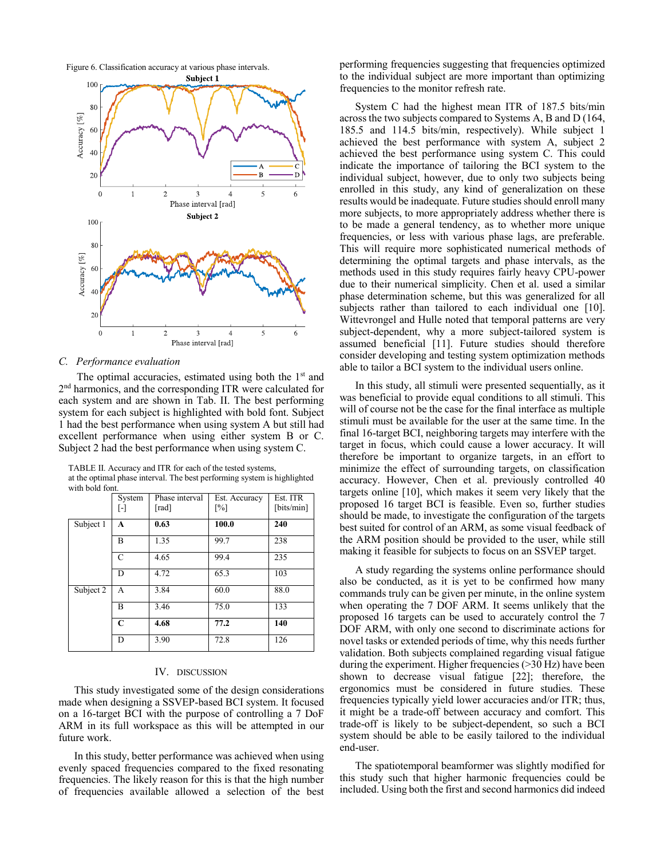Figure 6. Classification accuracy at various phase intervals.



#### C. Performance evaluation

The optimal accuracies, estimated using both the 1<sup>st</sup> and  $2<sup>nd</sup>$  harmonics, and the corresponding ITR were calculated for each system and are shown in Tab. II. The best performing system for each subject is highlighted with bold font. Subject 1 had the best performance when using system A but still had excellent performance when using either system B or C. Subject 2 had the best performance when using system C.

TABLE II. Accuracy and ITR for each of the tested systems, at the optimal phase interval. The best performing system is highlighted with hold font

|           | System<br>H   | Phase interval<br>[rad] | Est. Accuracy<br>$\lceil\% \rceil$ | Est. ITR<br>[bits/min] |
|-----------|---------------|-------------------------|------------------------------------|------------------------|
| Subject 1 | A             | 0.63                    | 100.0                              | 240                    |
|           | B             | 1.35                    | 99.7                               | 238                    |
|           | $\mathcal{C}$ | 4.65                    | 99.4                               | 235                    |
|           | D             | 4.72                    | 65.3                               | 103                    |
| Subject 2 | A             | 3.84                    | 60.0                               | 88.0                   |
|           | B             | 3.46                    | 75.0                               | 133                    |
|           | C             | 4.68                    | 77.2                               | 140                    |
|           | D             | 3.90                    | 72.8                               | 126                    |

#### IV. DISCUSSION

This study investigated some of the design considerations made when designing a SSVEP-based BCI system. It focused on a 16-target BCI with the purpose of controlling a 7 DoF ARM in its full workspace as this will be attempted in our future work.

In this study, better performance was achieved when using evenly spaced frequencies compared to the fixed resonating frequencies. The likely reason for this is that the high number of frequencies available allowed a selection of the best

performing frequencies suggesting that frequencies optimized to the individual subject are more important than optimizing frequencies to the monitor refresh rate.

System C had the highest mean ITR of 187.5 bits/min across the two subjects compared to Systems A, B and D (164, 185.5 and 114.5 bits/min, respectively). While subject 1 achieved the best performance with system A, subject 2 achieved the best performance using system C. This could indicate the importance of tailoring the BCI system to the individual subject, however, due to only two subjects being enrolled in this study, any kind of generalization on these results would be inadequate. Future studies should enroll many more subjects, to more appropriately address whether there is to be made a general tendency, as to whether more unique frequencies, or less with various phase lags, are preferable. This will require more sophisticated numerical methods of determining the optimal targets and phase intervals, as the methods used in this study requires fairly heavy CPU-power due to their numerical simplicity. Chen et al. used a similar phase determination scheme, but this was generalized for all subjects rather than tailored to each individual one [10]. Wittevrongel and Hulle noted that temporal patterns are very subject-dependent, why a more subject-tailored system is assumed beneficial [11]. Future studies should therefore consider developing and testing system optimization methods able to tailor a BCI system to the individual users online.

In this study, all stimuli were presented sequentially, as it was beneficial to provide equal conditions to all stimuli. This will of course not be the case for the final interface as multiple stimuli must be available for the user at the same time. In the final 16-target BCI, neighboring targets may interfere with the target in focus, which could cause a lower accuracy. It will therefore be important to organize targets, in an effort to minimize the effect of surrounding targets, on classification accuracy. However, Chen et al. previously controlled 40 targets online [10], which makes it seem very likely that the proposed 16 target BCI is feasible. Even so, further studies should be made, to investigate the configuration of the targets best suited for control of an ARM, as some visual feedback of the ARM position should be provided to the user, while still making it feasible for subjects to focus on an SSVEP target.

A study regarding the systems online performance should also be conducted, as it is yet to be confirmed how many commands truly can be given per minute, in the online system when operating the 7 DOF ARM. It seems unlikely that the proposed 16 targets can be used to accurately control the 7 DOF ARM, with only one second to discriminate actions for novel tasks or extended periods of time, why this needs further validation. Both subjects complained regarding visual fatigue during the experiment. Higher frequencies  $(>30 \text{ Hz})$  have been shown to decrease visual fatigue [22]; therefore, the ergonomics must be considered in future studies. These frequencies typically yield lower accuracies and/or ITR; thus, it might be a trade-off between accuracy and comfort. This trade-off is likely to be subject-dependent, so such a BCI system should be able to be easily tailored to the individual end-user.

The spatiotemporal beamformer was slightly modified for this study such that higher harmonic frequencies could be included. Using both the first and second harmonics did indeed